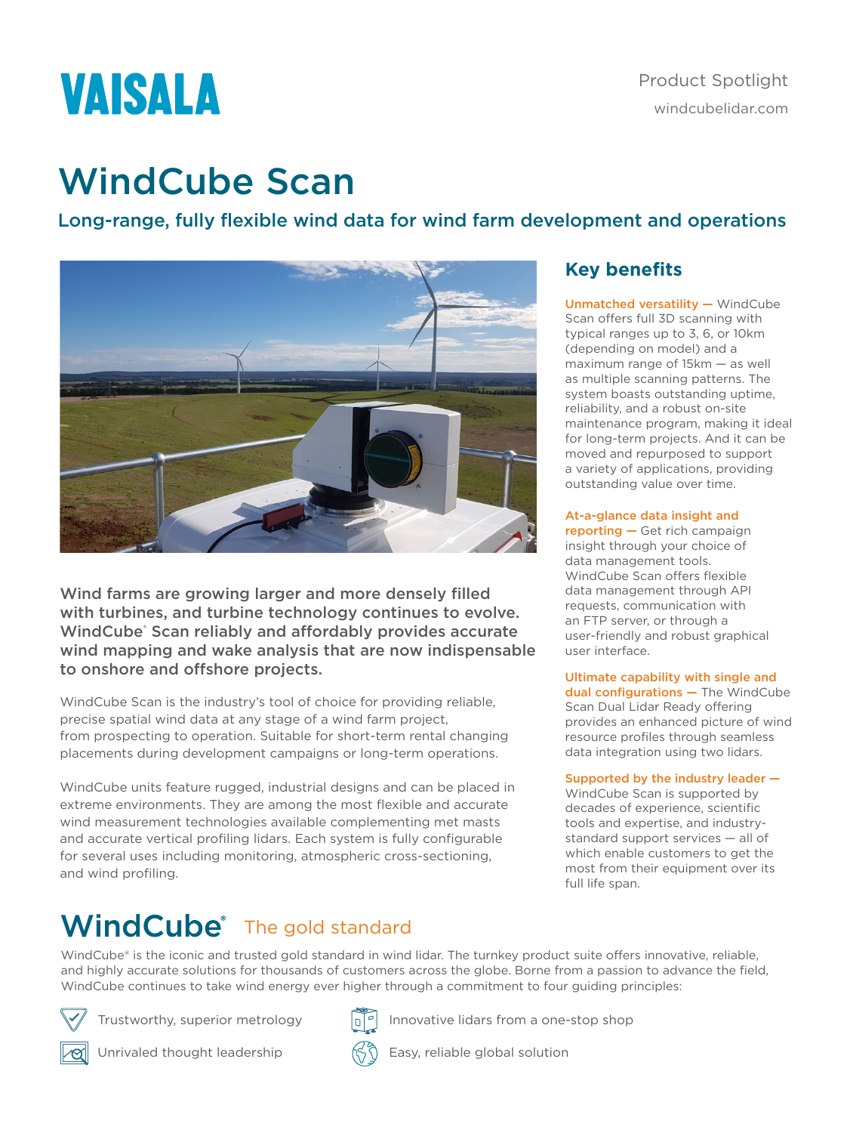# VAISALA

## WindCube Scan

Long-range, fully flexible wind data for wind farm development and operations



Wind farms are growing larger and more densely filled with turbines, and turbine technology continues to evolve. WindCube® Scan reliably and affordably provides accurate wind mapping and wake analysis that are now indispensable to onshore and offshore projects.

WindCube Scan is the industry's tool of choice for providing reliable, precise spatial wind data at any stage of a wind farm project, from prospecting to operation. Suitable for short-term rental changing placements during development campaigns or long-term operations.

WindCube units feature rugged, industrial designs and can be placed in extreme environments. They are among the most flexible and accurate wind measurement technologies available complementing met masts and accurate vertical profiling lidars. Each system is fully configurable for several uses including monitoring, atmospheric cross-sectioning, and wind profiling.

### **Key benefits**

Unmatched versatility — WindCube Scan offers full 3D scanning with typical ranges up to 3, 6, or 10km (depending on model) and a maximum range of 15km — as well as multiple scanning patterns. The system boasts outstanding uptime, reliability, and a robust on-site maintenance program, making it ideal for long-term projects. And it can be moved and repurposed to support a variety of applications, providing outstanding value over time.

### At-a-glance data insight and

reporting — Get rich campaign insight through your choice of data management tools. WindCube Scan offers flexible data management through API requests, communication with an FTP server, or through a user-friendly and robust graphical user interface.

#### Ultimate capability with single and dual configurations - The WindCube Scan Dual Lidar Ready offering provides an enhanced picture of wind resource profiles through seamless data integration using two lidars.

### Supported by the industry leader —

WindCube Scan is supported by decades of experience, scientific tools and expertise, and industrystandard support services — all of which enable customers to get the most from their equipment over its full life span.

### **WindCube** The gold standard

WindCube® is the iconic and trusted gold standard in wind lidar. The turnkey product suite offers innovative, reliable, and highly accurate solutions for thousands of customers across the globe. Borne from a passion to advance the field, WindCube continues to take wind energy ever higher through a commitment to four guiding principles:



Trustworthy, superior metrology



Unrivaled thought leadership



Innovative lidars from a one-stop shop

Easy, reliable global solution